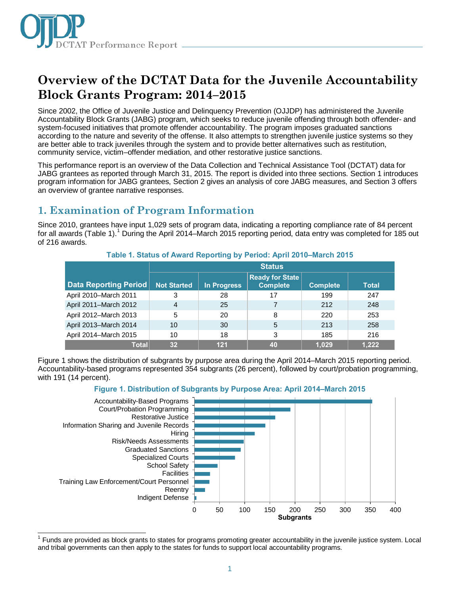

# **Overview of the DCTAT Data for the Juvenile Accountability Block Grants Program: 2014–2015**

Since 2002, the Office of Juvenile Justice and Delinquency Prevention (OJJDP) has administered the Juvenile Accountability Block Grants (JABG) program, which seeks to reduce juvenile offending through both offender- and system-focused initiatives that promote offender accountability. The program imposes graduated sanctions according to the nature and severity of the offense. It also attempts to strengthen juvenile justice systems so they are better able to track juveniles through the system and to provide better alternatives such as restitution, community service, victim–offender mediation, and other restorative justice sanctions.

This performance report is an overview of the Data Collection and Technical Assistance Tool (DCTAT) data for JABG grantees as reported through March 31, 2015. The report is divided into three sections. Section 1 introduces program information for JABG grantees, Section 2 gives an analysis of core JABG measures, and Section 3 offers an overview of grantee narrative responses.

## **1. Examination of Program Information**

Since 2010, grantees have input 1,029 sets of program data, indicating a reporting compliance rate of 84 percent for all awards (Table [1](#page-0-0)).<sup>1</sup> During the April 2014–March 2015 reporting period, data entry was completed for 185 out of 216 awards.

|                       | <b>Status</b>      |             |                                           |                 |              |
|-----------------------|--------------------|-------------|-------------------------------------------|-----------------|--------------|
| Data Reporting Period | <b>Not Started</b> | In Progress | <b>Ready for State</b><br><b>Complete</b> | <b>Complete</b> | <b>Total</b> |
| April 2010-March 2011 | 3                  | 28          | 17                                        | 199             | 247          |
| April 2011-March 2012 | 4                  | 25          |                                           | 212             | 248          |
| April 2012-March 2013 | 5                  | 20          | 8                                         | 220             | 253          |
| April 2013-March 2014 | 10                 | 30          | 5                                         | 213             | 258          |
| April 2014-March 2015 | 10                 | 18          | 3                                         | 185             | 216          |
| <b>Total</b>          | 32                 | 121         | 40                                        | 1,029           | 1,222        |

#### **Table 1. Status of Award Reporting by Period: April 2010–March 2015**

Figure 1 shows the distribution of subgrants by purpose area during the April 2014–March 2015 reporting period. Accountability-based programs represented 354 subgrants (26 percent), followed by court/probation programming, with 191 (14 percent).

#### **Figure 1. Distribution of Subgrants by Purpose Area: April 2014–March 2015**



<span id="page-0-0"></span> $\overline{\phantom{a}}$ <sup>1</sup> Funds are provided as block grants to states for programs promoting greater accountability in the juvenile justice system. Local and tribal governments can then apply to the states for funds to support local accountability programs.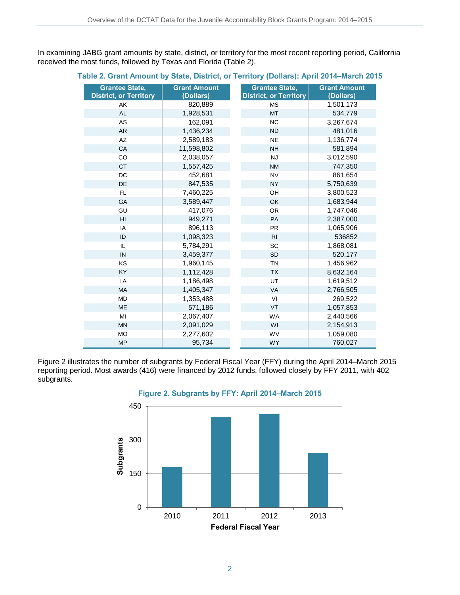In examining JABG grant amounts by state, district, or territory for the most recent reporting period, California received the most funds, followed by Texas and Florida (Table 2).

#### **Table 2. Grant Amount by State, District, or Territory (Dollars): April 2014–March 2015**

| <b>Grantee State,</b><br><b>District, or Territory</b> | <b>Grant Amount</b><br>(Dollars) | <b>Grantee State,</b><br><b>District, or Territory</b> | <b>Grant Amount</b><br>(Dollars) |
|--------------------------------------------------------|----------------------------------|--------------------------------------------------------|----------------------------------|
| AK                                                     | 820,889                          | <b>MS</b>                                              | 1,501,173                        |
| <b>AL</b>                                              | 1,928,531                        | <b>MT</b>                                              | 534,779                          |
| AS                                                     | 162,091                          | <b>NC</b>                                              | 3,267,674                        |
| <b>AR</b>                                              | 1,436,234                        | <b>ND</b>                                              | 481,016                          |
| AZ                                                     | 2,589,183                        | <b>NE</b>                                              | 1,136,774                        |
| CA                                                     | 11,598,802                       | <b>NH</b>                                              | 581,894                          |
| CO                                                     | 2,038,057                        | <b>NJ</b>                                              | 3,012,590                        |
| <b>CT</b>                                              | 1,557,425                        | <b>NM</b>                                              | 747,350                          |
| DC                                                     | 452,681                          | <b>NV</b>                                              | 861,654                          |
| DE                                                     | 847,535                          | <b>NY</b>                                              | 5,750,639                        |
| <b>FL</b>                                              | 7,460,225                        | OH                                                     | 3,800,523                        |
| GA                                                     | 3,589,447                        | OK                                                     | 1,683,944                        |
| GU                                                     | 417,076                          | <b>OR</b>                                              | 1,747,046                        |
| H <sub>II</sub>                                        | 949,271                          | PA                                                     | 2,387,000                        |
| IA                                                     | 896,113                          | <b>PR</b>                                              | 1,065,906                        |
| ID                                                     | 1,098,323                        | R <sub>l</sub>                                         | 536852                           |
| IL                                                     | 5,784,291                        | SC                                                     | 1,868,081                        |
| IN                                                     | 3,459,377                        | <b>SD</b>                                              | 520,177                          |
| KS                                                     | 1,960,145                        | <b>TN</b>                                              | 1,456,962                        |
| KY                                                     | 1,112,428                        | <b>TX</b>                                              | 8,632,164                        |
| LA                                                     | 1,186,498                        | UT                                                     | 1,619,512                        |
| <b>MA</b>                                              | 1,405,347                        | VA                                                     | 2,766,505                        |
| <b>MD</b>                                              | 1,353,488                        | VI                                                     | 269,522                          |
| <b>ME</b>                                              | 571,186                          | VT                                                     | 1,057,853                        |
| MI                                                     | 2,067,407                        | <b>WA</b>                                              | 2,440,566                        |
| <b>MN</b>                                              | 2,091,029                        | WI                                                     | 2,154,913                        |
| <b>MO</b>                                              | 2,277,602                        | WV                                                     | 1,059,080                        |
| <b>MP</b>                                              | 95,734                           | <b>WY</b>                                              | 760,027                          |

Figure 2 illustrates the number of subgrants by Federal Fiscal Year (FFY) during the April 2014–March 2015 reporting period. Most awards (416) were financed by 2012 funds, followed closely by FFY 2011, with 402 subgrants.



**Figure 2. Subgrants by FFY: April 2014–March 2015**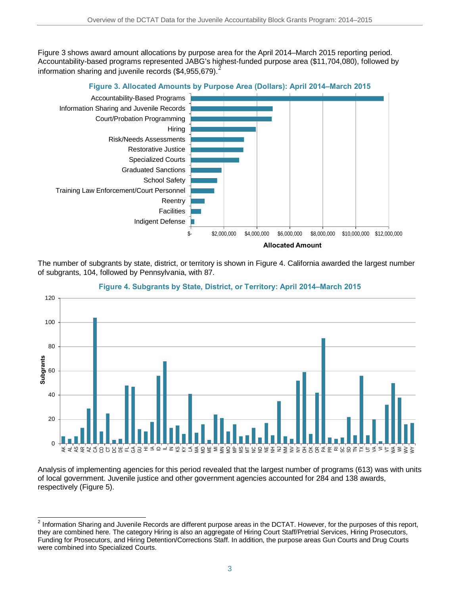Figure 3 shows award amount allocations by purpose area for the April 2014–March 2015 reporting period. Accountability-based programs represented JABG's highest-funded purpose area (\$11,704,080), followed by information sharing and juvenile records (\$4,955,679).<sup>[2](#page-2-0)</sup>



The number of subgrants by state, district, or territory is shown in Figure 4. California awarded the largest number of subgrants, 104, followed by Pennsylvania, with 87.



#### **Figure 4. Subgrants by State, District, or Territory: April 2014–March 2015**

Analysis of implementing agencies for this period revealed that the largest number of programs (613) was with units of local government. Juvenile justice and other government agencies accounted for 284 and 138 awards, respectively (Figure 5).

<span id="page-2-0"></span> $\overline{\phantom{a}}$  $2$  Information Sharing and Juvenile Records are different purpose areas in the DCTAT. However, for the purposes of this report, they are combined here. The category Hiring is also an aggregate of Hiring Court Staff/Pretrial Services, Hiring Prosecutors, Funding for Prosecutors, and Hiring Detention/Corrections Staff. In addition, the purpose areas Gun Courts and Drug Courts were combined into Specialized Courts.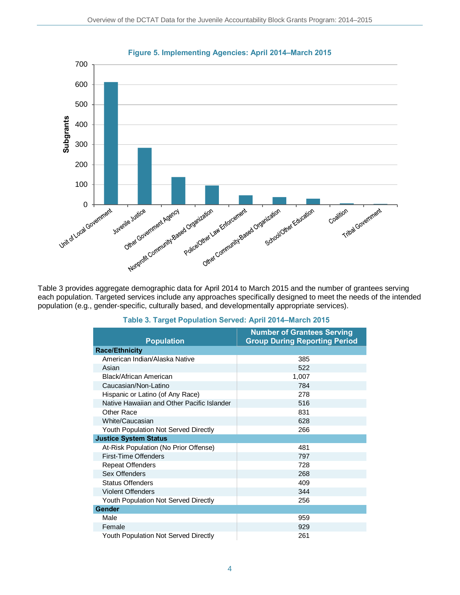

Table 3 provides aggregate demographic data for April 2014 to March 2015 and the number of grantees serving each population. Targeted services include any approaches specifically designed to meet the needs of the intended population (e.g., gender-specific, culturally based, and developmentally appropriate services).

| <b>Population</b>                           | <b>Number of Grantees Serving</b><br><b>Group During Reporting Period</b> |
|---------------------------------------------|---------------------------------------------------------------------------|
| <b>Race/Ethnicity</b>                       |                                                                           |
| American Indian/Alaska Native               | 385                                                                       |
| Asian                                       | 522                                                                       |
| Black/African American                      | 1,007                                                                     |
| Caucasian/Non-Latino                        | 784                                                                       |
| Hispanic or Latino (of Any Race)            | 278                                                                       |
| Native Hawaiian and Other Pacific Islander  | 516                                                                       |
| Other Race                                  | 831                                                                       |
| White/Caucasian                             | 628                                                                       |
| <b>Youth Population Not Served Directly</b> | 266                                                                       |
| <b>Justice System Status</b>                |                                                                           |
| At-Risk Population (No Prior Offense)       | 481                                                                       |
| First-Time Offenders                        | 797                                                                       |
| <b>Repeat Offenders</b>                     | 728                                                                       |
| Sex Offenders                               | 268                                                                       |
| <b>Status Offenders</b>                     | 409                                                                       |
| <b>Violent Offenders</b>                    | 344                                                                       |
| Youth Population Not Served Directly        | 256                                                                       |
| <b>Gender</b>                               |                                                                           |
| Male                                        | 959                                                                       |
| Female                                      | 929                                                                       |
| <b>Youth Population Not Served Directly</b> | 261                                                                       |

#### **Table 3. Target Population Served: April 2014–March 2015**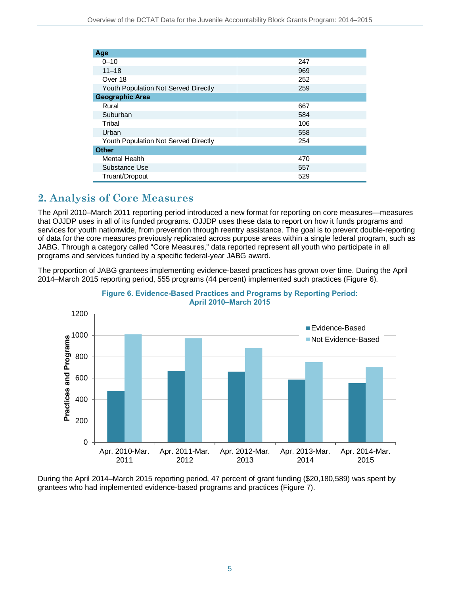| Age                                         |     |  |  |  |
|---------------------------------------------|-----|--|--|--|
| $0 - 10$                                    | 247 |  |  |  |
| $11 - 18$                                   | 969 |  |  |  |
| Over 18                                     | 252 |  |  |  |
| <b>Youth Population Not Served Directly</b> | 259 |  |  |  |
| <b>Geographic Area</b>                      |     |  |  |  |
| Rural                                       | 667 |  |  |  |
| Suburban                                    | 584 |  |  |  |
| Tribal                                      | 106 |  |  |  |
| Urban                                       | 558 |  |  |  |
| <b>Youth Population Not Served Directly</b> | 254 |  |  |  |
| <b>Other</b>                                |     |  |  |  |
| <b>Mental Health</b>                        | 470 |  |  |  |
| Substance Use                               | 557 |  |  |  |
| Truant/Dropout                              | 529 |  |  |  |

## **2. Analysis of Core Measures**

The April 2010–March 2011 reporting period introduced a new format for reporting on core measures—measures that OJJDP uses in all of its funded programs. OJJDP uses these data to report on how it funds programs and services for youth nationwide, from prevention through reentry assistance. The goal is to prevent double-reporting of data for the core measures previously replicated across purpose areas within a single federal program, such as JABG. Through a category called "Core Measures," data reported represent all youth who participate in all programs and services funded by a specific federal-year JABG award.

The proportion of JABG grantees implementing evidence-based practices has grown over time. During the April 2014–March 2015 reporting period, 555 programs (44 percent) implemented such practices (Figure 6).





During the April 2014–March 2015 reporting period, 47 percent of grant funding (\$20,180,589) was spent by grantees who had implemented evidence-based programs and practices (Figure 7).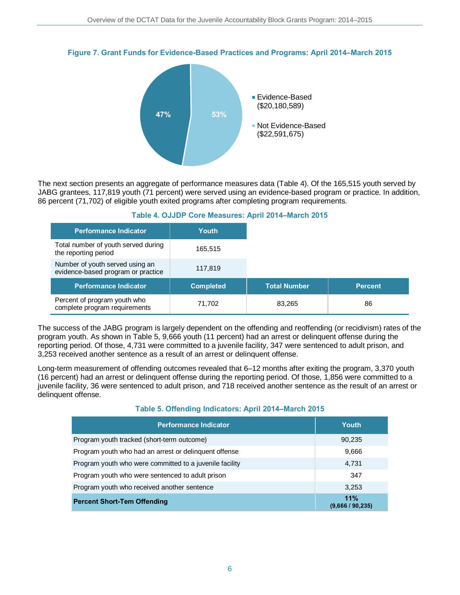



The next section presents an aggregate of performance measures data (Table 4). Of the 165,515 youth served by JABG grantees, 117,819 youth (71 percent) were served using an evidence-based program or practice. In addition, 86 percent (71,702) of eligible youth exited programs after completing program requirements.

| <b>Performance Indicator</b>                                          | Youth            |                     |                |
|-----------------------------------------------------------------------|------------------|---------------------|----------------|
| Total number of youth served during<br>the reporting period           | 165.515          |                     |                |
| Number of youth served using an<br>evidence-based program or practice | 117,819          |                     |                |
| <b>Performance Indicator</b>                                          | <b>Completed</b> | <b>Total Number</b> | <b>Percent</b> |
| Percent of program youth who<br>complete program requirements         | 71,702           | 83,265              | 86             |

#### **Table 4. OJJDP Core Measures: April 2014–March 2015**

The success of the JABG program is largely dependent on the offending and reoffending (or recidivism) rates of the program youth. As shown in Table 5, 9,666 youth (11 percent) had an arrest or delinquent offense during the reporting period. Of those, 4,731 were committed to a juvenile facility, 347 were sentenced to adult prison, and 3,253 received another sentence as a result of an arrest or delinquent offense.

Long-term measurement of offending outcomes revealed that 6–12 months after exiting the program, 3,370 youth (16 percent) had an arrest or delinquent offense during the reporting period. Of those, 1,856 were committed to a juvenile facility, 36 were sentenced to adult prison, and 718 received another sentence as the result of an arrest or delinquent offense.

#### **Table 5. Offending Indicators: April 2014–March 2015**

| <b>Performance Indicator</b>                            | Youth                   |
|---------------------------------------------------------|-------------------------|
| Program youth tracked (short-term outcome)              | 90,235                  |
| Program youth who had an arrest or delinquent offense   | 9,666                   |
| Program youth who were committed to a juvenile facility | 4,731                   |
| Program youth who were sentenced to adult prison        | 347                     |
| Program youth who received another sentence             | 3,253                   |
| <b>Percent Short-Tem Offending</b>                      | 11%<br>(9,666 / 90,235) |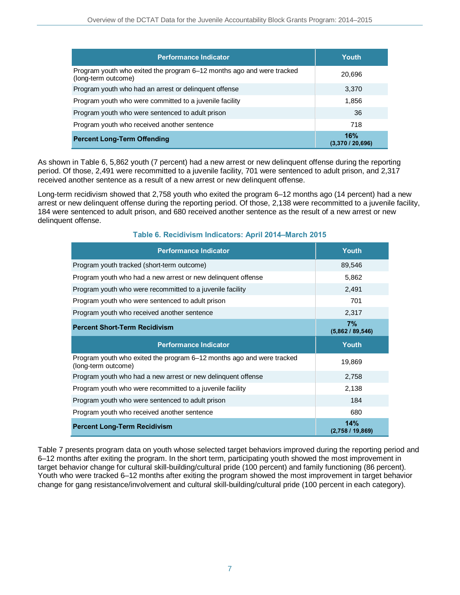| <b>Performance Indicator</b>                                                                 | Youth                 |
|----------------------------------------------------------------------------------------------|-----------------------|
| Program youth who exited the program 6-12 months ago and were tracked<br>(long-term outcome) | 20,696                |
| Program youth who had an arrest or delinguent offense                                        | 3,370                 |
| Program youth who were committed to a juvenile facility                                      | 1,856                 |
| Program youth who were sentenced to adult prison                                             | 36                    |
| Program youth who received another sentence                                                  | 718                   |
| <b>Percent Long-Term Offending</b>                                                           | 16%<br>(3,370/20,696) |

As shown in Table 6, 5,862 youth (7 percent) had a new arrest or new delinquent offense during the reporting period. Of those, 2,491 were recommitted to a juvenile facility, 701 were sentenced to adult prison, and 2,317 received another sentence as a result of a new arrest or new delinquent offense.

Long-term recidivism showed that 2,758 youth who exited the program 6–12 months ago (14 percent) had a new arrest or new delinquent offense during the reporting period. Of those, 2,138 were recommitted to a juvenile facility, 184 were sentenced to adult prison, and 680 received another sentence as the result of a new arrest or new delinquent offense.

| <b>Performance Indicator</b>                                                                 | <b>Youth</b>         |
|----------------------------------------------------------------------------------------------|----------------------|
| Program youth tracked (short-term outcome)                                                   | 89,546               |
| Program youth who had a new arrest or new delinguent offense                                 | 5,862                |
| Program youth who were recommitted to a juvenile facility                                    | 2,491                |
| Program youth who were sentenced to adult prison                                             | 701                  |
| Program youth who received another sentence                                                  | 2,317                |
| <b>Percent Short-Term Recidivism</b>                                                         | 7%<br>(5,862/89,546) |
|                                                                                              |                      |
| <b>Performance Indicator</b>                                                                 | Youth                |
| Program youth who exited the program 6–12 months ago and were tracked<br>(long-term outcome) | 19,869               |
| Program youth who had a new arrest or new delinguent offense                                 | 2,758                |
| Program youth who were recommitted to a juvenile facility                                    | 2,138                |
| Program youth who were sentenced to adult prison                                             | 184                  |
| Program youth who received another sentence                                                  | 680                  |

**Table 6. Recidivism Indicators: April 2014–March 2015** 

Table 7 presents program data on youth whose selected target behaviors improved during the reporting period and 6–12 months after exiting the program. In the short term, participating youth showed the most improvement in target behavior change for cultural skill-building/cultural pride (100 percent) and family functioning (86 percent). Youth who were tracked 6–12 months after exiting the program showed the most improvement in target behavior change for gang resistance/involvement and cultural skill-building/cultural pride (100 percent in each category).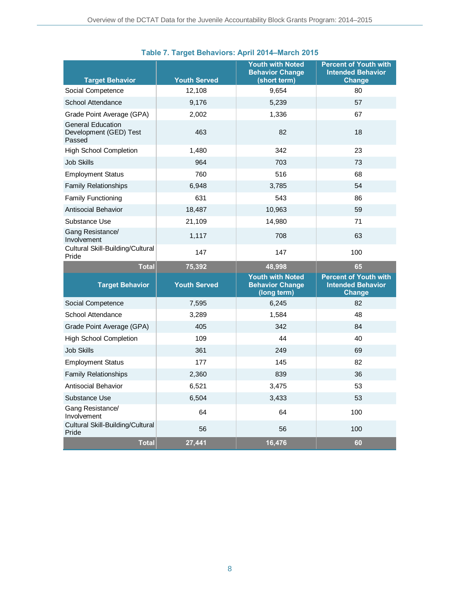| <b>Target Behavior</b>                                       | <b>Youth Served</b> | <b>Youth with Noted</b><br><b>Behavior Change</b><br>(short term) | <b>Percent of Youth with</b><br><b>Intended Behavior</b><br><b>Change</b> |
|--------------------------------------------------------------|---------------------|-------------------------------------------------------------------|---------------------------------------------------------------------------|
| Social Competence                                            | 12,108              | 9,654                                                             | 80                                                                        |
| School Attendance                                            | 9,176               | 5,239                                                             | 57                                                                        |
| Grade Point Average (GPA)                                    | 2,002               | 1,336                                                             | 67                                                                        |
| <b>General Education</b><br>Development (GED) Test<br>Passed | 463                 | 82                                                                | 18                                                                        |
| <b>High School Completion</b>                                | 1,480               | 342                                                               | 23                                                                        |
| Job Skills                                                   | 964                 | 703                                                               | 73                                                                        |
| <b>Employment Status</b>                                     | 760                 | 516                                                               | 68                                                                        |
| <b>Family Relationships</b>                                  | 6,948               | 3,785                                                             | 54                                                                        |
| <b>Family Functioning</b>                                    | 631                 | 543                                                               | 86                                                                        |
| Antisocial Behavior                                          | 18,487              | 10,963                                                            | 59                                                                        |
| Substance Use                                                | 21,109              | 14,980                                                            | 71                                                                        |
| Gang Resistance/<br>Involvement                              | 1,117               | 708                                                               | 63                                                                        |
| Cultural Skill-Building/Cultural<br>Pride                    | 147                 | 147                                                               | 100                                                                       |
| <b>Total</b>                                                 | 75,392              | 48,998                                                            | 65                                                                        |
| <b>Target Behavior</b>                                       | <b>Youth Served</b> | <b>Youth with Noted</b><br><b>Behavior Change</b><br>(long term)  | <b>Percent of Youth with</b><br><b>Intended Behavior</b><br><b>Change</b> |
| Social Competence                                            | 7,595               | 6,245                                                             | 82                                                                        |
| School Attendance                                            | 3,289               | 1,584                                                             | 48                                                                        |
| Grade Point Average (GPA)                                    | 405                 | 342                                                               | 84                                                                        |
| <b>High School Completion</b>                                | 109                 | 44                                                                | 40                                                                        |
| <b>Job Skills</b>                                            | 361                 | 249                                                               | 69                                                                        |
| <b>Employment Status</b>                                     | 177                 | 145                                                               | 82                                                                        |
| <b>Family Relationships</b>                                  | 2,360               | 839                                                               | 36                                                                        |
| <b>Antisocial Behavior</b>                                   | 6,521               | 3,475                                                             | 53                                                                        |
| Substance Use                                                | 6,504               | 3,433                                                             | 53                                                                        |
| Gang Resistance/<br>Involvement                              | 64                  | 64                                                                | 100                                                                       |
| Cultural Skill-Building/Cultural<br>Pride                    | 56                  | 56                                                                | 100                                                                       |
| <b>Total</b>                                                 | 27,441              | 16,476                                                            | 60                                                                        |

### **Table 7. Target Behaviors: April 2014–March 2015**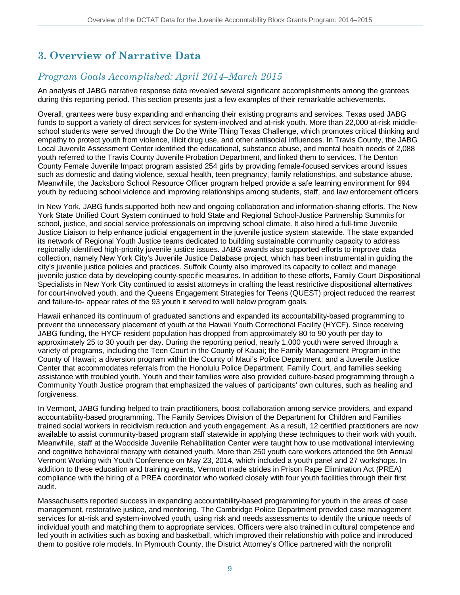# **3. Overview of Narrative Data**

## *Program Goals Accomplished: April 2014–March 2015*

An analysis of JABG narrative response data revealed several significant accomplishments among the grantees during this reporting period. This section presents just a few examples of their remarkable achievements.

Overall, grantees were busy expanding and enhancing their existing programs and services. Texas used JABG funds to support a variety of direct services for system-involved and at-risk youth. More than 22,000 at-risk middleschool students were served through the Do the Write Thing Texas Challenge, which promotes critical thinking and empathy to protect youth from violence, illicit drug use, and other antisocial influences. In Travis County, the JABG Local Juvenile Assessment Center identified the educational, substance abuse, and mental health needs of 2,088 youth referred to the Travis County Juvenile Probation Department, and linked them to services. The Denton County Female Juvenile Impact program assisted 254 girls by providing female-focused services around issues such as domestic and dating violence, sexual health, teen pregnancy, family relationships, and substance abuse. Meanwhile, the Jacksboro School Resource Officer program helped provide a safe learning environment for 994 youth by reducing school violence and improving relationships among students, staff, and law enforcement officers.

In New York, JABG funds supported both new and ongoing collaboration and information-sharing efforts. The New York State Unified Court System continued to hold State and Regional School-Justice Partnership Summits for school, justice, and social service professionals on improving school climate. It also hired a full-time Juvenile Justice Liaison to help enhance judicial engagement in the juvenile justice system statewide. The state expanded its network of Regional Youth Justice teams dedicated to building sustainable community capacity to address regionally identified high-priority juvenile justice issues. JABG awards also supported efforts to improve data collection, namely New York City's Juvenile Justice Database project, which has been instrumental in guiding the city's juvenile justice policies and practices. Suffolk County also improved its capacity to collect and manage juvenile justice data by developing county-specific measures. In addition to these efforts, Family Court Dispositional Specialists in New York City continued to assist attorneys in crafting the least restrictive dispositional alternatives for court-involved youth, and the Queens Engagement Strategies for Teens (QUEST) project reduced the rearrest and failure-to- appear rates of the 93 youth it served to well below program goals.

Hawaii enhanced its continuum of graduated sanctions and expanded its accountability-based programming to prevent the unnecessary placement of youth at the Hawaii Youth Correctional Facility (HYCF). Since receiving JABG funding, the HYCF resident population has dropped from approximately 80 to 90 youth per day to approximately 25 to 30 youth per day. During the reporting period, nearly 1,000 youth were served through a variety of programs, including the Teen Court in the County of Kauai; the Family Management Program in the County of Hawaii; a diversion program within the County of Maui's Police Department; and a Juvenile Justice Center that accommodates referrals from the Honolulu Police Department, Family Court, and families seeking assistance with troubled youth. Youth and their families were also provided culture-based programming through a Community Youth Justice program that emphasized the values of participants' own cultures, such as healing and forgiveness.

In Vermont, JABG funding helped to train practitioners, boost collaboration among service providers, and expand accountability-based programming. The Family Services Division of the Department for Children and Families trained social workers in recidivism reduction and youth engagement. As a result, 12 certified practitioners are now available to assist community-based program staff statewide in applying these techniques to their work with youth. Meanwhile, staff at the Woodside Juvenile Rehabilitation Center were taught how to use motivational interviewing and cognitive behavioral therapy with detained youth. More than 250 youth care workers attended the 9th Annual Vermont Working with Youth Conference on May 23, 2014, which included a youth panel and 27 workshops. In addition to these education and training events, Vermont made strides in Prison Rape Elimination Act (PREA) compliance with the hiring of a PREA coordinator who worked closely with four youth facilities through their first audit.

Massachusetts reported success in expanding accountability-based programming for youth in the areas of case management, restorative justice, and mentoring. The Cambridge Police Department provided case management services for at-risk and system-involved youth, using risk and needs assessments to identify the unique needs of individual youth and matching them to appropriate services. Officers were also trained in cultural competence and led youth in activities such as boxing and basketball, which improved their relationship with police and introduced them to positive role models. In Plymouth County, the District Attorney's Office partnered with the nonprofit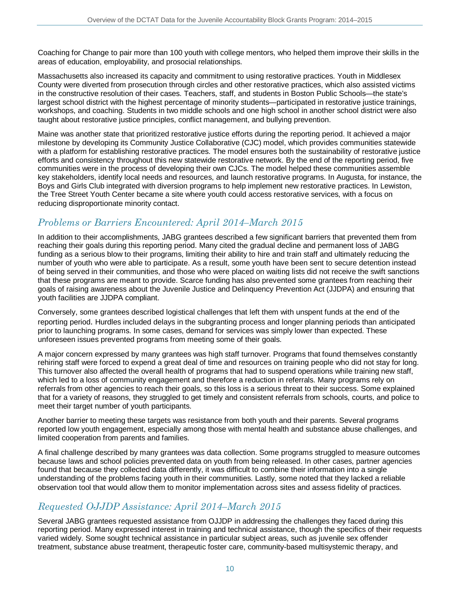Coaching for Change to pair more than 100 youth with college mentors, who helped them improve their skills in the areas of education, employability, and prosocial relationships.

Massachusetts also increased its capacity and commitment to using restorative practices. Youth in Middlesex County were diverted from prosecution through circles and other restorative practices, which also assisted victims in the constructive resolution of their cases. Teachers, staff, and students in Boston Public Schools—the state's largest school district with the highest percentage of minority students—participated in restorative justice trainings, workshops, and coaching. Students in two middle schools and one high school in another school district were also taught about restorative justice principles, conflict management, and bullying prevention.

Maine was another state that prioritized restorative justice efforts during the reporting period. It achieved a major milestone by developing its Community Justice Collaborative (CJC) model, which provides communities statewide with a platform for establishing restorative practices. The model ensures both the sustainability of restorative justice efforts and consistency throughout this new statewide restorative network. By the end of the reporting period, five communities were in the process of developing their own CJCs. The model helped these communities assemble key stakeholders, identify local needs and resources, and launch restorative programs. In Augusta, for instance, the Boys and Girls Club integrated with diversion programs to help implement new restorative practices. In Lewiston, the Tree Street Youth Center became a site where youth could access restorative services, with a focus on reducing disproportionate minority contact.

## *Problems or Barriers Encountered: April 2014–March 2015*

In addition to their accomplishments, JABG grantees described a few significant barriers that prevented them from reaching their goals during this reporting period. Many cited the gradual decline and permanent loss of JABG funding as a serious blow to their programs, limiting their ability to hire and train staff and ultimately reducing the number of youth who were able to participate. As a result, some youth have been sent to secure detention instead of being served in their communities, and those who were placed on waiting lists did not receive the swift sanctions that these programs are meant to provide. Scarce funding has also prevented some grantees from reaching their goals of raising awareness about the Juvenile Justice and Delinquency Prevention Act (JJDPA) and ensuring that youth facilities are JJDPA compliant.

Conversely, some grantees described logistical challenges that left them with unspent funds at the end of the reporting period. Hurdles included delays in the subgranting process and longer planning periods than anticipated prior to launching programs. In some cases, demand for services was simply lower than expected. These unforeseen issues prevented programs from meeting some of their goals.

A major concern expressed by many grantees was high staff turnover. Programs that found themselves constantly rehiring staff were forced to expend a great deal of time and resources on training people who did not stay for long. This turnover also affected the overall health of programs that had to suspend operations while training new staff, which led to a loss of community engagement and therefore a reduction in referrals. Many programs rely on referrals from other agencies to reach their goals, so this loss is a serious threat to their success. Some explained that for a variety of reasons, they struggled to get timely and consistent referrals from schools, courts, and police to meet their target number of youth participants.

Another barrier to meeting these targets was resistance from both youth and their parents. Several programs reported low youth engagement, especially among those with mental health and substance abuse challenges, and limited cooperation from parents and families.

A final challenge described by many grantees was data collection. Some programs struggled to measure outcomes because laws and school policies prevented data on youth from being released. In other cases, partner agencies found that because they collected data differently, it was difficult to combine their information into a single understanding of the problems facing youth in their communities. Lastly, some noted that they lacked a reliable observation tool that would allow them to monitor implementation across sites and assess fidelity of practices.

### *Requested OJJDP Assistance: April 2014–March 2015*

Several JABG grantees requested assistance from OJJDP in addressing the challenges they faced during this reporting period. Many expressed interest in training and technical assistance, though the specifics of their requests varied widely. Some sought technical assistance in particular subject areas, such as juvenile sex offender treatment, substance abuse treatment, therapeutic foster care, community-based multisystemic therapy, and